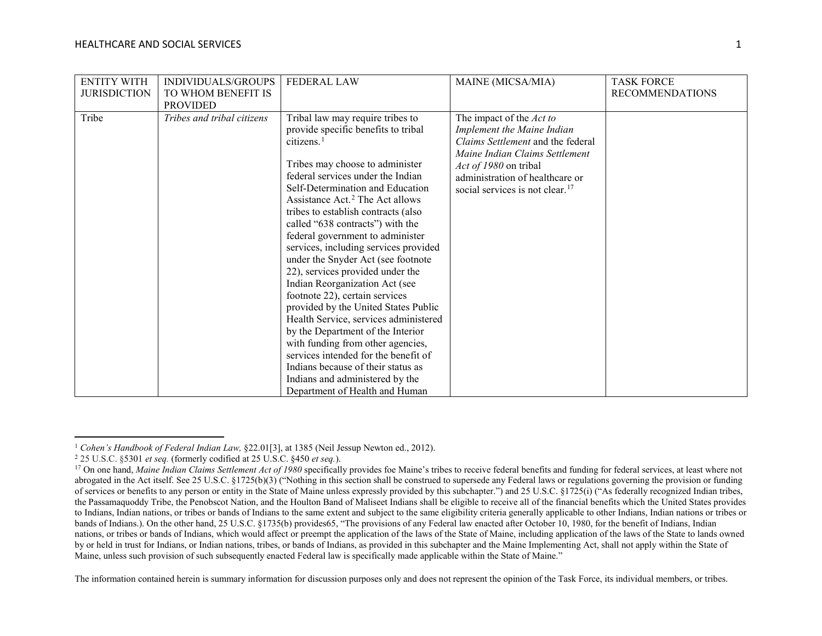<span id="page-0-3"></span><span id="page-0-2"></span><span id="page-0-1"></span><span id="page-0-0"></span>

| <b>ENTITY WITH</b><br><b>JURISDICTION</b> | INDIVIDUALS/GROUPS<br>TO WHOM BENEFIT IS | <b>FEDERAL LAW</b>                                                                                                                                                                                                                                                                                                                                                                                                                                                                                                                                                                                                                                                                                                                                                                                                                                                               | MAINE (MICSA/MIA)                                                                                                                                                                                                                               | <b>TASK FORCE</b><br><b>RECOMMENDATIONS</b> |
|-------------------------------------------|------------------------------------------|----------------------------------------------------------------------------------------------------------------------------------------------------------------------------------------------------------------------------------------------------------------------------------------------------------------------------------------------------------------------------------------------------------------------------------------------------------------------------------------------------------------------------------------------------------------------------------------------------------------------------------------------------------------------------------------------------------------------------------------------------------------------------------------------------------------------------------------------------------------------------------|-------------------------------------------------------------------------------------------------------------------------------------------------------------------------------------------------------------------------------------------------|---------------------------------------------|
|                                           | <b>PROVIDED</b>                          |                                                                                                                                                                                                                                                                                                                                                                                                                                                                                                                                                                                                                                                                                                                                                                                                                                                                                  |                                                                                                                                                                                                                                                 |                                             |
| Tribe                                     | Tribes and tribal citizens               | Tribal law may require tribes to<br>provide specific benefits to tribal<br>citizens. <sup>1</sup><br>Tribes may choose to administer<br>federal services under the Indian<br>Self-Determination and Education<br>Assistance Act. <sup>2</sup> The Act allows<br>tribes to establish contracts (also<br>called "638 contracts") with the<br>federal government to administer<br>services, including services provided<br>under the Snyder Act (see footnote<br>22), services provided under the<br>Indian Reorganization Act (see<br>footnote 22), certain services<br>provided by the United States Public<br>Health Service, services administered<br>by the Department of the Interior<br>with funding from other agencies,<br>services intended for the benefit of<br>Indians because of their status as<br>Indians and administered by the<br>Department of Health and Human | The impact of the Act to<br>Implement the Maine Indian<br>Claims Settlement and the federal<br>Maine Indian Claims Settlement<br><i>Act of 1980</i> on tribal<br>administration of healthcare or<br>social services is not clear. <sup>17</sup> |                                             |

l <sup>1</sup> Cohen's Handbook of Federal Indian Law, §22.01[3], at 1385 (Neil Jessup Newton ed., 2012).

<sup>2</sup> 25 U.S.C. §5301 *et seq.* (formerly codified at 25 U.S.C. §450 *et seq.*).

<sup>&</sup>lt;sup>17</sup> On one hand, *Maine Indian Claims Settlement Act of 1980* specifically provides foe Maine's tribes to receive federal benefits and funding for federal services, at least where not abrogated in the Act itself. See 25 U.S.C. §1725(b)(3) ("Nothing in this section shall be construed to supersede any Federal laws or regulations governing the provision or funding of services or benefits to any person or entity in the State of Maine unless expressly provided by this subchapter.") and 25 U.S.C. §1725(i) ("As federally recognized Indian tribes, the Passamaquoddy Tribe, the Penobscot Nation, and the Houlton Band of Maliseet Indians shall be eligible to receive all of the financial benefits which the United States provides to Indians, Indian nations, or tribes or bands of Indians to the same extent and subject to the same eligibility criteria generally applicable to other Indians, Indian nations or tribes or bands of Indians.). On the other hand, 25 U.S.C. §1735(b) provides65, "The provisions of any Federal law enacted after October 10, 1980, for the benefit of Indians, Indian nations, or tribes or bands of Indians, which would affect or preempt the application of the laws of the State of Maine, including application of the laws of the State to lands owned by or held in trust for Indians, or Indian nations, tribes, or bands of Indians, as provided in this subchapter and the Maine Implementing Act, shall not apply within the State of Maine, unless such provision of such subsequently enacted Federal law is specifically made applicable within the State of Maine."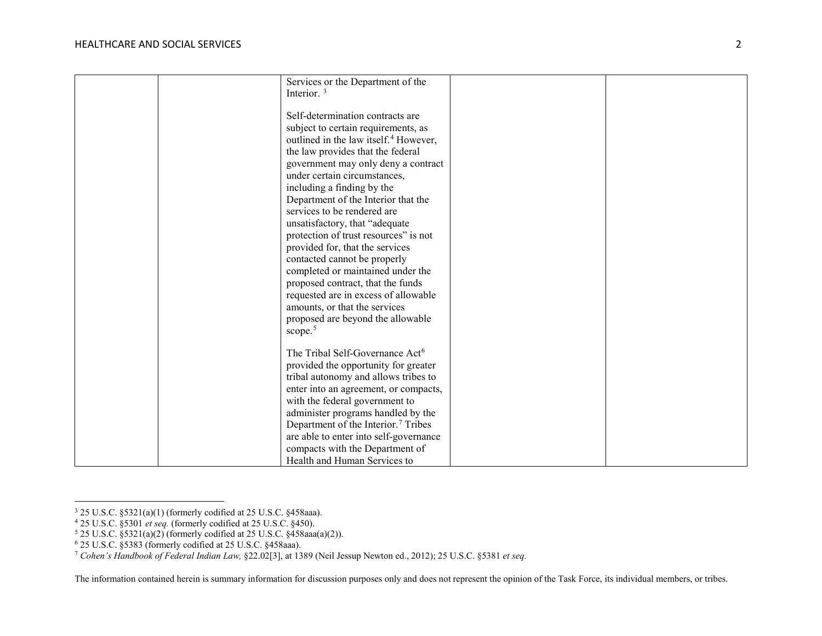<span id="page-1-4"></span><span id="page-1-3"></span><span id="page-1-2"></span><span id="page-1-1"></span><span id="page-1-0"></span>

|  | Services or the Department of the                 |  |
|--|---------------------------------------------------|--|
|  | Interior. <sup>3</sup>                            |  |
|  |                                                   |  |
|  | Self-determination contracts are                  |  |
|  | subject to certain requirements, as               |  |
|  | outlined in the law itself. <sup>4</sup> However, |  |
|  | the law provides that the federal                 |  |
|  | government may only deny a contract               |  |
|  | under certain circumstances,                      |  |
|  | including a finding by the                        |  |
|  | Department of the Interior that the               |  |
|  | services to be rendered are                       |  |
|  | unsatisfactory, that "adequate                    |  |
|  | protection of trust resources" is not             |  |
|  | provided for, that the services                   |  |
|  | contacted cannot be properly                      |  |
|  | completed or maintained under the                 |  |
|  | proposed contract, that the funds                 |  |
|  | requested are in excess of allowable              |  |
|  | amounts, or that the services                     |  |
|  | proposed are beyond the allowable                 |  |
|  | scope. <sup>5</sup>                               |  |
|  |                                                   |  |
|  | The Tribal Self-Governance Act <sup>6</sup>       |  |
|  | provided the opportunity for greater              |  |
|  | tribal autonomy and allows tribes to              |  |
|  | enter into an agreement, or compacts,             |  |
|  | with the federal government to                    |  |
|  | administer programs handled by the                |  |
|  | Department of the Interior. <sup>7</sup> Tribes   |  |
|  | are able to enter into self-governance            |  |
|  | compacts with the Department of                   |  |
|  | Health and Human Services to                      |  |

 $\overline{a}$ 

<sup>3</sup> 25 U.S.C. §5321(a)(1) (formerly codified at 25 U.S.C. §458aaa).

<sup>4</sup> 25 U.S.C. §5301 *et seq.* (formerly codified at 25 U.S.C. §450).

 $5$  25 U.S.C.  $\S 5321(a)(2)$  (formerly codified at 25 U.S.C.  $\S 458$ aaa $(a)(2)$ ).

<sup>6</sup> 25 U.S.C. §5383 (formerly codified at 25 U.S.C. §458aaa).

<sup>7</sup> *Cohen's Handbook of Federal Indian Law,* §22.02[3], at 1389 (Neil Jessup Newton ed., 2012); 25 U.S.C. §5381 *et seq.*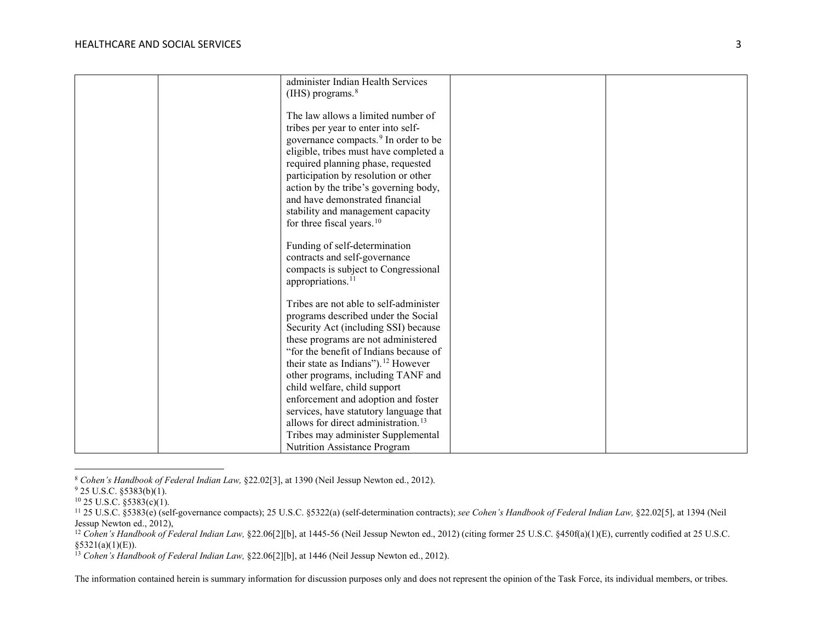<span id="page-2-5"></span><span id="page-2-4"></span><span id="page-2-3"></span><span id="page-2-2"></span><span id="page-2-1"></span><span id="page-2-0"></span>

| administer Indian Health Services                |  |
|--------------------------------------------------|--|
| (IHS) programs. <sup>8</sup>                     |  |
|                                                  |  |
| The law allows a limited number of               |  |
| tribes per year to enter into self-              |  |
| governance compacts. <sup>9</sup> In order to be |  |
| eligible, tribes must have completed a           |  |
| required planning phase, requested               |  |
| participation by resolution or other             |  |
| action by the tribe's governing body,            |  |
| and have demonstrated financial                  |  |
| stability and management capacity                |  |
| for three fiscal years. <sup>10</sup>            |  |
|                                                  |  |
| Funding of self-determination                    |  |
| contracts and self-governance                    |  |
| compacts is subject to Congressional             |  |
| appropriations. <sup>1</sup>                     |  |
|                                                  |  |
| Tribes are not able to self-administer           |  |
| programs described under the Social              |  |
| Security Act (including SSI) because             |  |
| these programs are not administered              |  |
| "for the benefit of Indians because of           |  |
| their state as Indians"). <sup>12</sup> However  |  |
| other programs, including TANF and               |  |
| child welfare, child support                     |  |
| enforcement and adoption and foster              |  |
| services, have statutory language that           |  |
| allows for direct administration. <sup>13</sup>  |  |
|                                                  |  |
| Tribes may administer Supplemental               |  |
| <b>Nutrition Assistance Program</b>              |  |

<sup>8</sup> *Cohen's Handbook of Federal Indian Law,* §22.02[3], at 1390 (Neil Jessup Newton ed., 2012).

l

 $9$  25 U.S.C. §5383(b)(1).

 $10$  25 U.S.C. §5383(c)(1).

<sup>11</sup> 25 U.S.C. §5383(e) (self-governance compacts); 25 U.S.C. §5322(a) (self-determination contracts); *see Cohen's Handbook of Federal Indian Law,* §22.02[5], at 1394 (Neil Jessup Newton ed., 2012),

<sup>&</sup>lt;sup>12</sup> Cohen's Handbook of Federal Indian Law, §22.06[2][b], at 1445-56 (Neil Jessup Newton ed., 2012) (citing former 25 U.S.C. §450f(a)(1)(E), currently codified at 25 U.S.C. §5321(a)(1)(E)).

<sup>13</sup> *Cohen's Handbook of Federal Indian Law,* §22.06[2][b], at 1446 (Neil Jessup Newton ed., 2012).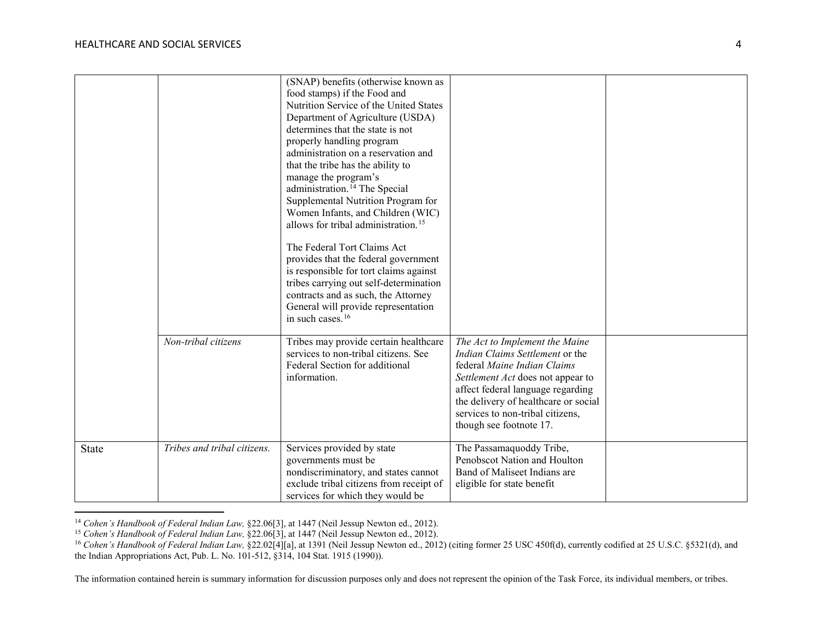$\overline{\phantom{a}}$ 

<span id="page-3-2"></span><span id="page-3-1"></span><span id="page-3-0"></span>

|              |                             | (SNAP) benefits (otherwise known as             |                                        |  |
|--------------|-----------------------------|-------------------------------------------------|----------------------------------------|--|
|              |                             | food stamps) if the Food and                    |                                        |  |
|              |                             | Nutrition Service of the United States          |                                        |  |
|              |                             | Department of Agriculture (USDA)                |                                        |  |
|              |                             | determines that the state is not                |                                        |  |
|              |                             | properly handling program                       |                                        |  |
|              |                             | administration on a reservation and             |                                        |  |
|              |                             | that the tribe has the ability to               |                                        |  |
|              |                             | manage the program's                            |                                        |  |
|              |                             | administration. <sup>14</sup> The Special       |                                        |  |
|              |                             | Supplemental Nutrition Program for              |                                        |  |
|              |                             | Women Infants, and Children (WIC)               |                                        |  |
|              |                             | allows for tribal administration. <sup>15</sup> |                                        |  |
|              |                             | The Federal Tort Claims Act                     |                                        |  |
|              |                             | provides that the federal government            |                                        |  |
|              |                             | is responsible for tort claims against          |                                        |  |
|              |                             | tribes carrying out self-determination          |                                        |  |
|              |                             | contracts and as such, the Attorney             |                                        |  |
|              |                             | General will provide representation             |                                        |  |
|              |                             | in such cases. <sup>16</sup>                    |                                        |  |
|              | Non-tribal citizens         | Tribes may provide certain healthcare           | The Act to Implement the Maine         |  |
|              |                             | services to non-tribal citizens. See            | <i>Indian Claims Settlement</i> or the |  |
|              |                             | Federal Section for additional                  | federal Maine Indian Claims            |  |
|              |                             | information.                                    | Settlement Act does not appear to      |  |
|              |                             |                                                 | affect federal language regarding      |  |
|              |                             |                                                 | the delivery of healthcare or social   |  |
|              |                             |                                                 | services to non-tribal citizens,       |  |
|              |                             |                                                 | though see footnote 17.                |  |
|              |                             |                                                 |                                        |  |
| <b>State</b> | Tribes and tribal citizens. | Services provided by state                      | The Passamaquoddy Tribe,               |  |
|              |                             | governments must be                             | Penobscot Nation and Houlton           |  |
|              |                             | nondiscriminatory, and states cannot            | Band of Maliseet Indians are           |  |
|              |                             | exclude tribal citizens from receipt of         | eligible for state benefit             |  |
|              |                             | services for which they would be                |                                        |  |

<sup>14</sup> *Cohen's Handbook of Federal Indian Law,* §22.06[3], at 1447 (Neil Jessup Newton ed., 2012).

<sup>15</sup> *Cohen's Handbook of Federal Indian Law,* §22.06[3], at 1447 (Neil Jessup Newton ed., 2012).

<sup>&</sup>lt;sup>16</sup> Cohen's Handbook of Federal Indian Law, §22.02[4][a], at 1391 (Neil Jessup Newton ed., 2012) (citing former 25 USC 450f(d), currently codified at 25 U.S.C. §5321(d), and the Indian Appropriations Act, Pub. L. No. 101-512, §314, 104 Stat. 1915 (1990)).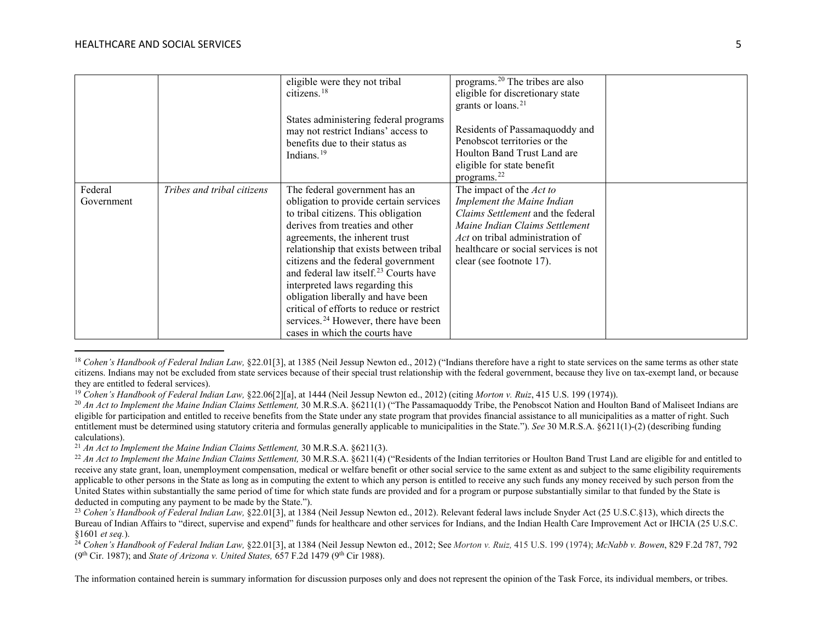l

<span id="page-4-6"></span><span id="page-4-5"></span><span id="page-4-4"></span><span id="page-4-3"></span><span id="page-4-2"></span><span id="page-4-1"></span><span id="page-4-0"></span>

|                       |                            | eligible were they not tribal<br>citizens. $18$<br>States administering federal programs<br>may not restrict Indians' access to<br>benefits due to their status as<br>Indians. <sup>19</sup>                                                                                                                                                                                                                                                                                                                                           | programs. <sup>20</sup> The tribes are also<br>eligible for discretionary state<br>grants or loans. <sup>21</sup><br>Residents of Passamaquoddy and<br>Penobscot territories or the<br>Houlton Band Trust Land are<br>eligible for state benefit<br>programs. <sup>22</sup> |  |
|-----------------------|----------------------------|----------------------------------------------------------------------------------------------------------------------------------------------------------------------------------------------------------------------------------------------------------------------------------------------------------------------------------------------------------------------------------------------------------------------------------------------------------------------------------------------------------------------------------------|-----------------------------------------------------------------------------------------------------------------------------------------------------------------------------------------------------------------------------------------------------------------------------|--|
| Federal<br>Government | Tribes and tribal citizens | The federal government has an<br>obligation to provide certain services<br>to tribal citizens. This obligation<br>derives from treaties and other<br>agreements, the inherent trust<br>relationship that exists between tribal<br>citizens and the federal government<br>and federal law itself. <sup>23</sup> Courts have<br>interpreted laws regarding this<br>obligation liberally and have been<br>critical of efforts to reduce or restrict<br>services. <sup>24</sup> However, there have been<br>cases in which the courts have | The impact of the Act to<br>Implement the Maine Indian<br>Claims Settlement and the federal<br>Maine Indian Claims Settlement<br>Act on tribal administration of<br>healthcare or social services is not<br>clear (see footnote 17).                                        |  |

<sup>&</sup>lt;sup>18</sup> *Cohen's Handbook of Federal Indian Law,* §22.01[3], at 1385 (Neil Jessup Newton ed., 2012) ("Indians therefore have a right to state services on the same terms as other state citizens. Indians may not be excluded from state services because of their special trust relationship with the federal government, because they live on tax-exempt land, or because they are entitled to federal services).

<sup>19</sup> *Cohen's Handbook of Federal Indian Law,* §22.06[2][a], at 1444 (Neil Jessup Newton ed., 2012) (citing *Morton v. Ruiz*, 415 U.S. 199 (1974)).

<sup>&</sup>lt;sup>20</sup> An Act to Implement the Maine Indian Claims Settlement, 30 M.R.S.A. §6211(1) ("The Passamaquoddy Tribe, the Penobscot Nation and Houlton Band of Maliseet Indians are eligible for participation and entitled to receive benefits from the State under any state program that provides financial assistance to all municipalities as a matter of right. Such entitlement must be determined using statutory criteria and formulas generally applicable to municipalities in the State."). *See* 30 M.R.S.A. §6211(1)-(2) (describing funding calculations).

<sup>21</sup> *An Act to Implement the Maine Indian Claims Settlement,* 30 M.R.S.A. §6211(3).

<sup>&</sup>lt;sup>22</sup> An Act to Implement the Maine Indian Claims Settlement, 30 M.R.S.A. §6211(4) ("Residents of the Indian territories or Houlton Band Trust Land are eligible for and entitled to receive any state grant, loan, unemployment compensation, medical or welfare benefit or other social service to the same extent as and subject to the same eligibility requirements applicable to other persons in the State as long as in computing the extent to which any person is entitled to receive any such funds any money received by such person from the United States within substantially the same period of time for which state funds are provided and for a program or purpose substantially similar to that funded by the State is deducted in computing any payment to be made by the State.").

<sup>&</sup>lt;sup>23</sup> Cohen's Handbook of Federal Indian Law, §22.01[3], at 1384 (Neil Jessup Newton ed., 2012). Relevant federal laws include Snyder Act (25 U.S.C.§13), which directs the Bureau of Indian Affairs to "direct, supervise and expend" funds for healthcare and other services for Indians, and the Indian Health Care Improvement Act or IHCIA (25 U.S.C. §1601 *et seq.*). 24 *Cohen's Handbook of Federal Indian Law,* §22.01[3], at 1384 (Neil Jessup Newton ed., 2012; See *Morton v. Ruiz,* 415 U.S. 199 (1974); *McNabb v. Bowen*, 829 F.2d 787, 792

<sup>(9</sup>th Cir. 1987); and *State of Arizona v. United States,* 657 F.2d 1479 (9th Cir 1988).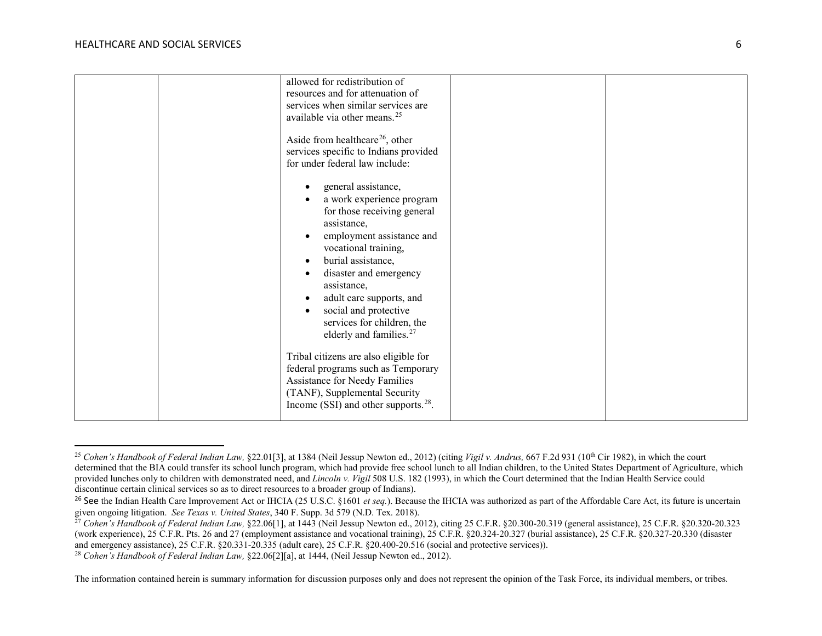$\overline{a}$ 

<span id="page-5-3"></span><span id="page-5-2"></span><span id="page-5-1"></span><span id="page-5-0"></span>

| allowed for redistribution of<br>resources and for attenuation of<br>services when similar services are<br>available via other means. <sup>25</sup><br>Aside from healthcare <sup>26</sup> , other<br>services specific to Indians provided<br>for under federal law include:                                                                |  |
|----------------------------------------------------------------------------------------------------------------------------------------------------------------------------------------------------------------------------------------------------------------------------------------------------------------------------------------------|--|
| general assistance,<br>a work experience program<br>for those receiving general<br>assistance,<br>employment assistance and<br>vocational training,<br>burial assistance,<br>disaster and emergency<br>assistance,<br>adult care supports, and<br>social and protective<br>services for children, the<br>elderly and families. <sup>27</sup> |  |
| Tribal citizens are also eligible for<br>federal programs such as Temporary<br>Assistance for Needy Families<br>(TANF), Supplemental Security<br>Income (SSI) and other supports. <sup>28</sup> .                                                                                                                                            |  |

<sup>&</sup>lt;sup>25</sup> Cohen's Handbook of Federal Indian Law, §22.01[3], at 1384 (Neil Jessup Newton ed., 2012) (citing *Vigil v. Andrus,* 667 F.2d 931 (10<sup>th</sup> Cir 1982), in which the court determined that the BIA could transfer its school lunch program, which had provide free school lunch to all Indian children, to the United States Department of Agriculture, which provided lunches only to children with demonstrated need, and *Lincoln v. Vigil* 508 U.S. 182 (1993), in which the Court determined that the Indian Health Service could discontinue certain clinical services so as to direct resources to a broader group of Indians).

<sup>&</sup>lt;sup>26</sup> See the Indian Health Care Improvement Act or IHCIA (25 U.S.C. §1601 *et seq.*). Because the IHCIA was authorized as part of the Affordable Care Act, its future is uncertain given ongoing litigation. *See Texas v. United States*, 340 F. Supp. 3d 579 (N.D. Tex. 2018).

 $^{27}$  *Cohen's Handbook of Federal Indian Law,* §22.06[1], at 1443 (Neil Jessup Newton ed., 2012), citing 25 C.F.R. §20.300-20.319 (general assistance), 25 C.F.R. §20.320-20.323 (work experience), 25 C.F.R. Pts. 26 and 27 (employment assistance and vocational training), 25 C.F.R. §20.324-20.327 (burial assistance), 25 C.F.R. §20.327-20.330 (disaster and emergency assistance), 25 C.F.R. §20.331-20.335 (adult care), 25 C.F.R. §20.400-20.516 (social and protective services)).

<sup>&</sup>lt;sup>28</sup> Cohen's Handbook of Federal Indian Law, §22.06[2][a], at 1444, (Neil Jessup Newton ed., 2012).